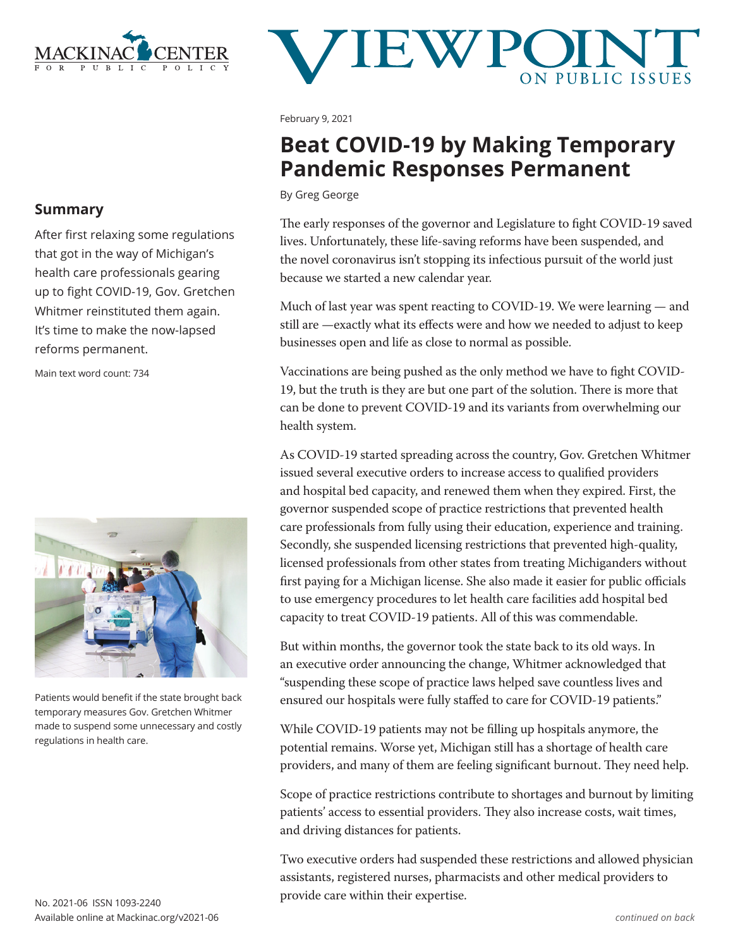

# **JEWP**

February 9, 2021

## **Beat COVID-19 by Making Temporary Pandemic Responses Permanent**

By Greg George

The early responses of the governor and Legislature to fight COVID-19 saved lives. Unfortunately, these life-saving reforms have been suspended, and the novel coronavirus isn't stopping its infectious pursuit of the world just because we started a new calendar year.

Much of last year was spent reacting to COVID-19. We were learning — and still are —exactly what its effects were and how we needed to adjust to keep businesses open and life as close to normal as possible.

Vaccinations are being pushed as the only method we have to fight COVID-19, but the truth is they are but one part of the solution. There is more that can be done to prevent COVID-19 and its variants from overwhelming our health system.

As COVID-19 started spreading across the country, Gov. Gretchen Whitmer issued several executive orders to increase access to qualified providers and hospital bed capacity, and renewed them when they expired. First, the governor suspended scope of practice restrictions that prevented health care professionals from fully using their education, experience and training. Secondly, she suspended licensing restrictions that prevented high-quality, licensed professionals from other states from treating Michiganders without first paying for a Michigan license. She also made it easier for public officials to use emergency procedures to let health care facilities add hospital bed capacity to treat COVID-19 patients. All of this was commendable.

But within months, the governor took the state back to its old ways. In an executive order announcing the change, Whitmer acknowledged that "suspending these scope of practice laws helped save countless lives and ensured our hospitals were fully staffed to care for COVID-19 patients."

While COVID-19 patients may not be filling up hospitals anymore, the potential remains. Worse yet, Michigan still has a shortage of health care providers, and many of them are feeling significant burnout. They need help.

Scope of practice restrictions contribute to shortages and burnout by limiting patients' access to essential providers. They also increase costs, wait times, and driving distances for patients.

Two executive orders had suspended these restrictions and allowed physician assistants, registered nurses, pharmacists and other medical providers to provide care within their expertise.

## **Summary**

After first relaxing some regulations that got in the way of Michigan's health care professionals gearing up to fight COVID-19, Gov. Gretchen Whitmer reinstituted them again. It's time to make the now-lapsed reforms permanent.

Main text word count: 734



Patients would benefit if the state brought back temporary measures Gov. Gretchen Whitmer made to suspend some unnecessary and costly regulations in health care.